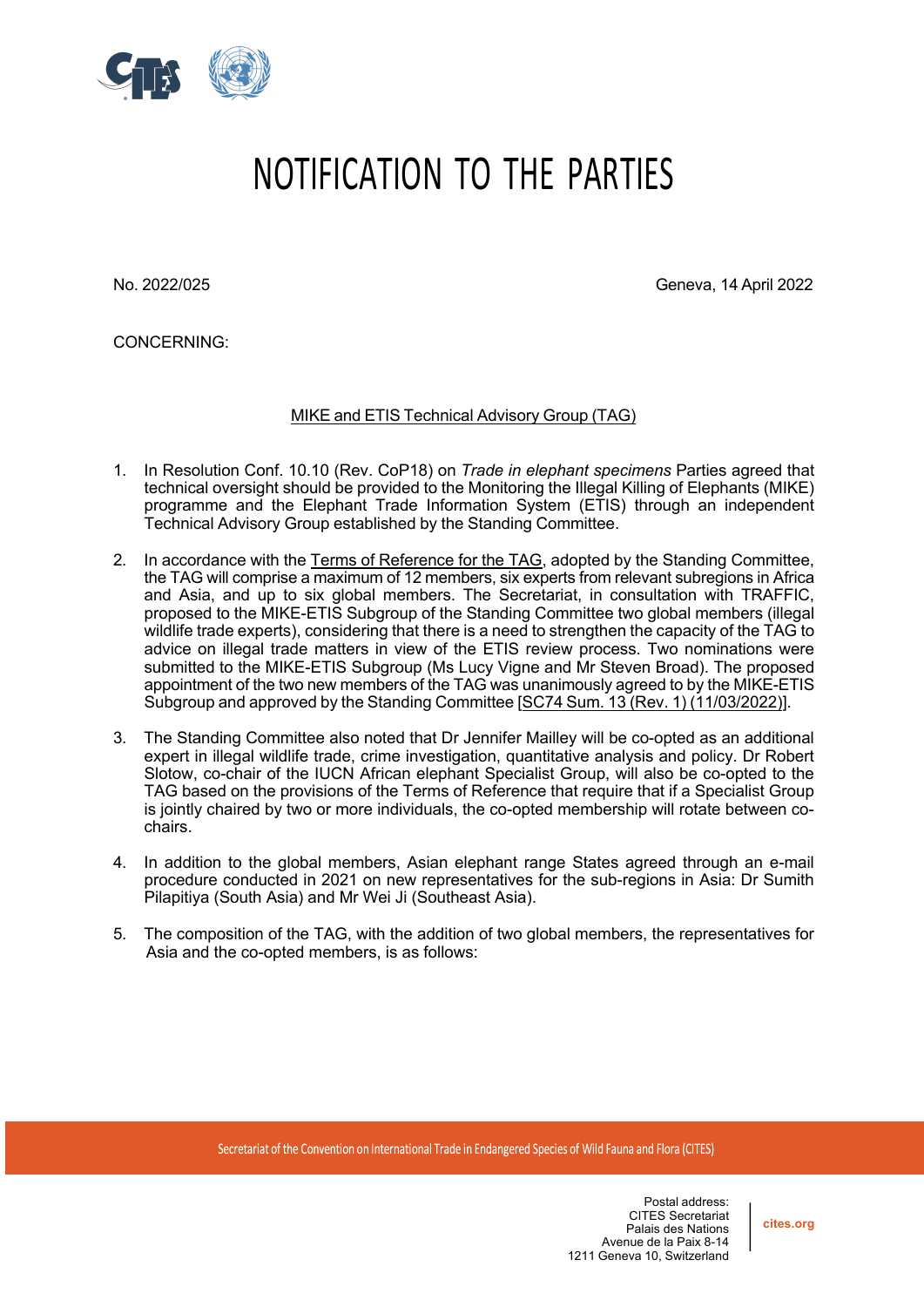

## NOTIFICATION TO THE PARTIES

No. 2022/025 Geneva, 14 April 2022

CONCERNING:

MIKE and ETIS Technical Advisory Group (TAG)

- 1. In Resolution Conf. 10.10 (Rev. CoP18) on *Trade in elephant specimens* Parties agreed that technical oversight should be provided to the Monitoring the Illegal Killing of Elephants (MIKE) programme and the Elephant Trade Information System (ETIS) through an independent Technical Advisory Group established by the Standing Committee.
- 2. In accordance with the Terms of Reference for the TAG, adopted by the Standing Committee, the TAG will comprise a maximum of 12 members, six experts from relevant subregions in Africa and Asia, and up to six global members. The Secretariat, in consultation with TRAFFIC, proposed to the MIKE-ETIS Subgroup of the Standing Committee two global members (illegal wildlife trade experts), considering that there is a need to strengthen the capacity of the TAG to advice on illegal trade matters in view of the ETIS review process. Two nominations were submitted to the MIKE-ETIS Subgroup (Ms Lucy Vigne and Mr Steven Broad). The proposed appointment of the two new members of the TAG was unanimously agreed to by the MIKE-ETIS Subgroup and approved by the Standing Committee [SC74 Sum. 13 (Rev. 1) (11/03/2022)].
- 3. The Standing Committee also noted that Dr Jennifer Mailley will be co-opted as an additional expert in illegal wildlife trade, crime investigation, quantitative analysis and policy. Dr Robert Slotow, co-chair of the IUCN African elephant Specialist Group, will also be co-opted to the TAG based on the provisions of the Terms of Reference that require that if a Specialist Group is jointly chaired by two or more individuals, the co-opted membership will rotate between cochairs.
- 4. In addition to the global members, Asian elephant range States agreed through an e-mail procedure conducted in 2021 on new representatives for the sub-regions in Asia: Dr Sumith Pilapitiya (South Asia) and Mr Wei Ji (Southeast Asia).
- 5. The composition of the TAG, with the addition of two global members, the representatives for Asia and the co-opted members, is as follows:

**cites.org**